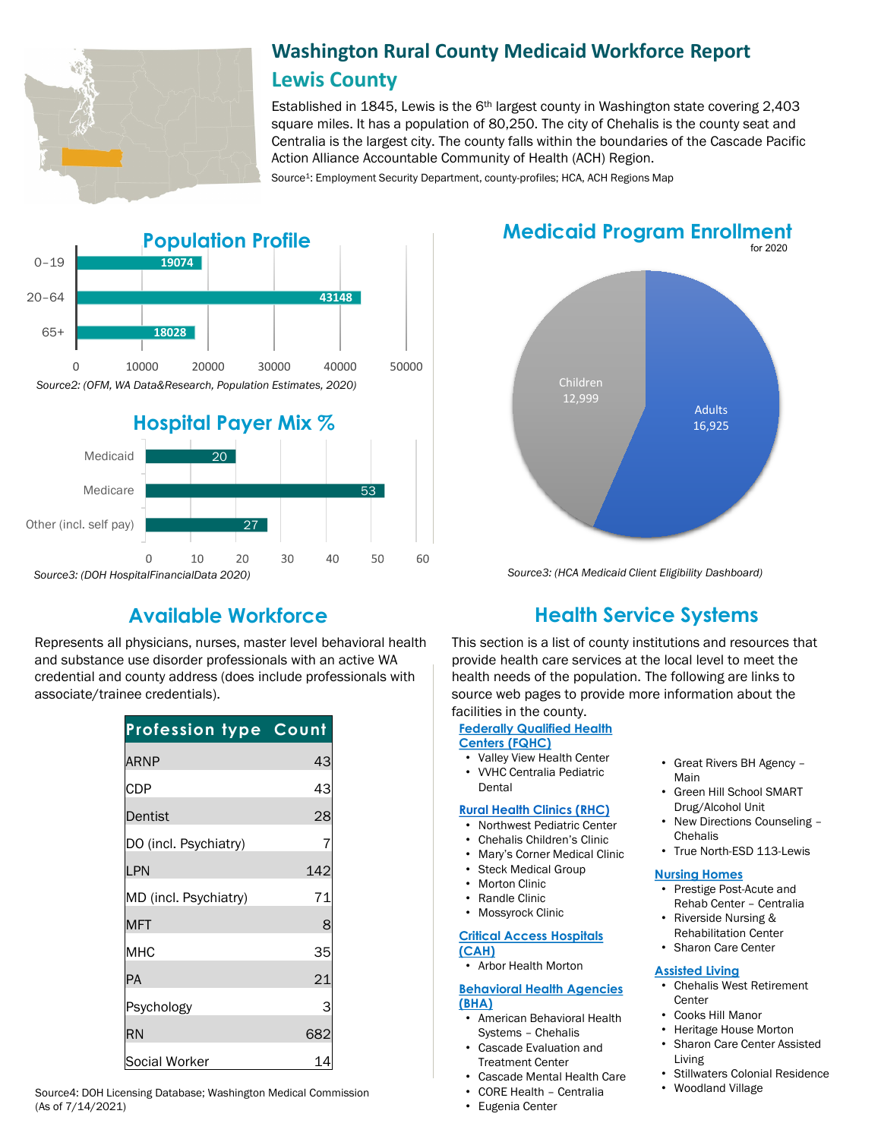

*Source3: (DOH HospitalFinancialData 2020)*

 $\Omega$ 

10

# **Washington Rural County Medicaid Workforce Report Lewis County**

Established in 1845, Lewis is the  $6<sup>th</sup>$  largest county in Washington state covering 2,403 square miles. It has a population of 80,250. The city of Chehalis is the county seat and Centralia is the largest city. The county falls within the boundaries of the Cascade Pacific Action Alliance Accountable Community of Health (ACH) Region.

Source<sup>1</sup>: Employment Security Department, county-profiles; HCA, ACH Regions Map





20

30

40

50

60

Represents all physicians, nurses, master level behavioral health and substance use disorder professionals with an active WA credential and county address (does include professionals with associate/trainee credentials).

| <b>Profession type Count</b> |     |
|------------------------------|-----|
| ARNP                         | 43  |
| <b>CDP</b>                   | 43  |
| Dentist                      | 28  |
| DO (incl. Psychiatry)        | 7   |
| LPN                          | 142 |
| MD (incl. Psychiatry)        | 71  |
| <b>MFT</b>                   | 8   |
| <b>MHC</b>                   | 35  |
| PA                           | 21  |
| Psychology                   | 3   |
| RN                           | 682 |
| Social Worker                |     |

Source4: DOH Licensing Database; Washington Medical Commission (As of 7/14/2021)

## **Medicaid Program Enrollment**



*Source3: (HCA Medicaid Client Eligibility Dashboard)*

# **Available Workforce Health Service Systems**

This section is a list of county institutions and resources that provide health care services at the local level to meet the health needs of the population. The following are links to source web pages to provide more information about the facilities in the county.

## **[Federally Qualified Health](https://www.doh.wa.gov/ForPublicHealthandHealthcareProviders/RuralHealth/PrimaryCareOffice)**

- **Centers (FQHC)**
- Valley View Health Center • VVHC Centralia Pediatric Dental

#### **[Rural Health Clinics \(RHC\)](https://www.doh.wa.gov/ForPublicHealthandHealthcareProviders/RuralHealth/RuralHealthSystems)**

- Northwest Pediatric Center
- Chehalis Children's Clinic
- Mary's Corner Medical Clinic
- Steck Medical Group
- Morton Clinic
- Randle Clinic

## • Mossyrock Clinic

### **[Critical Access Hospitals](https://www.doh.wa.gov/ForPublicHealthandHealthcareProviders/RuralHealth/RuralHealthSystems)  (CAH)**

• Arbor Health Morton

#### **[Behavioral Health Agencies](https://www.doh.wa.gov/LicensesPermitsandCertificates/ProviderCredentialSearch) (BHA)**

- American Behavioral Health Systems – Chehalis
- Cascade Evaluation and Treatment Center
- Cascade Mental Health Care
- CORE Health Centralia
- Eugenia Center
- Great Rivers BH Agency Main
- Green Hill School SMART Drug/Alcohol Unit
- New Directions Counseling **Chehalis**
- True North-ESD 113-Lewis

### **[Nursing Homes](https://fortress.wa.gov/dshs/adsaapps/lookup/NHPubLookup.aspx)**

- Prestige Post-Acute and Rehab Center – Centralia
- Riverside Nursing &
- Rehabilitation Center • Sharon Care Center
- 

## **[Assisted Living](https://fortress.wa.gov/dshs/adsaapps/lookup/BHPubLookup.aspx)**

- Chehalis West Retirement **Center**
- Cooks Hill Manor
- Heritage House Morton Sharon Care Center Assisted
- Living
- Stillwaters Colonial Residence
- Woodland Village